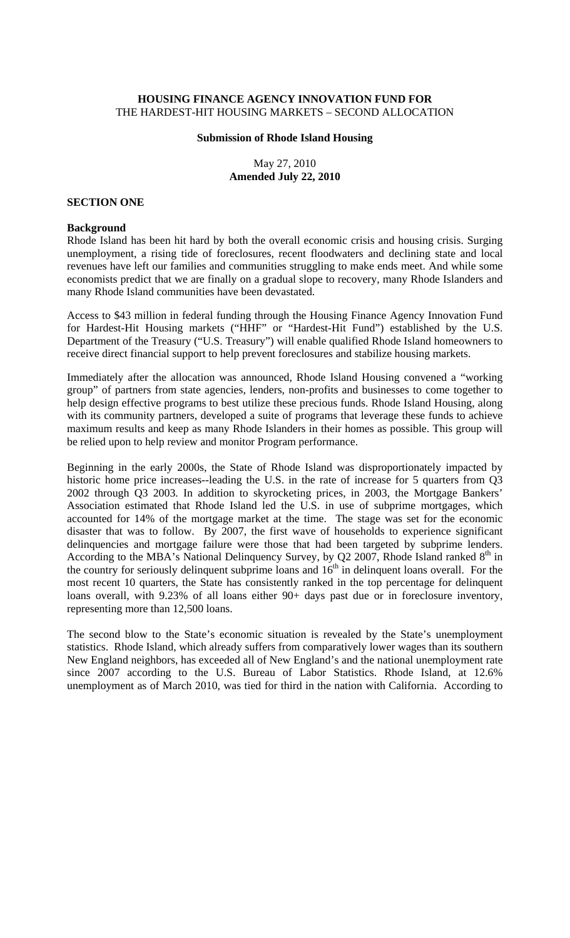## **HOUSING FINANCE AGENCY INNOVATION FUND FOR**  THE HARDEST-HIT HOUSING MARKETS – SECOND ALLOCATION

#### **Submission of Rhode Island Housing**

May 27, 2010 **Amended July 22, 2010** 

#### **SECTION ONE**

#### **Background**

Rhode Island has been hit hard by both the overall economic crisis and housing crisis. Surging unemployment, a rising tide of foreclosures, recent floodwaters and declining state and local revenues have left our families and communities struggling to make ends meet. And while some economists predict that we are finally on a gradual slope to recovery, many Rhode Islanders and many Rhode Island communities have been devastated.

Access to \$43 million in federal funding through the Housing Finance Agency Innovation Fund for Hardest-Hit Housing markets ("HHF" or "Hardest-Hit Fund") established by the U.S. Department of the Treasury ("U.S. Treasury") will enable qualified Rhode Island homeowners to receive direct financial support to help prevent foreclosures and stabilize housing markets.

Immediately after the allocation was announced, Rhode Island Housing convened a "working group" of partners from state agencies, lenders, non-profits and businesses to come together to help design effective programs to best utilize these precious funds. Rhode Island Housing, along with its community partners, developed a suite of programs that leverage these funds to achieve maximum results and keep as many Rhode Islanders in their homes as possible. This group will be relied upon to help review and monitor Program performance.

Beginning in the early 2000s, the State of Rhode Island was disproportionately impacted by historic home price increases--leading the U.S. in the rate of increase for 5 quarters from Q3 2002 through Q3 2003. In addition to skyrocketing prices, in 2003, the Mortgage Bankers' Association estimated that Rhode Island led the U.S. in use of subprime mortgages, which accounted for 14% of the mortgage market at the time. The stage was set for the economic disaster that was to follow. By 2007, the first wave of households to experience significant delinquencies and mortgage failure were those that had been targeted by subprime lenders. According to the MBA's National Delinquency Survey, by Q2 2007, Rhode Island ranked  $8<sup>th</sup>$  in the country for seriously delinquent subprime loans and  $16<sup>th</sup>$  in delinquent loans overall. For the most recent 10 quarters, the State has consistently ranked in the top percentage for delinquent loans overall, with 9.23% of all loans either 90+ days past due or in foreclosure inventory, representing more than 12,500 loans.

The second blow to the State's economic situation is revealed by the State's unemployment statistics. Rhode Island, which already suffers from comparatively lower wages than its southern New England neighbors, has exceeded all of New England's and the national unemployment rate since 2007 according to the U.S. Bureau of Labor Statistics. Rhode Island, at 12.6% unemployment as of March 2010, was tied for third in the nation with California. According to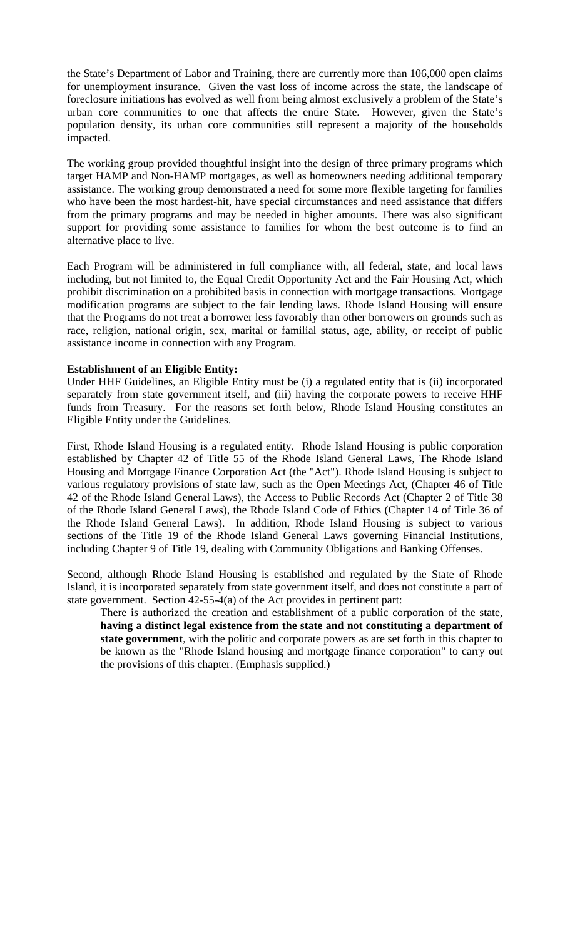the State's Department of Labor and Training, there are currently more than 106,000 open claims for unemployment insurance. Given the vast loss of income across the state, the landscape of foreclosure initiations has evolved as well from being almost exclusively a problem of the State's urban core communities to one that affects the entire State. However, given the State's population density, its urban core communities still represent a majority of the households impacted.

The working group provided thoughtful insight into the design of three primary programs which target HAMP and Non-HAMP mortgages, as well as homeowners needing additional temporary assistance. The working group demonstrated a need for some more flexible targeting for families who have been the most hardest-hit, have special circumstances and need assistance that differs from the primary programs and may be needed in higher amounts. There was also significant support for providing some assistance to families for whom the best outcome is to find an alternative place to live.

Each Program will be administered in full compliance with, all federal, state, and local laws including, but not limited to, the Equal Credit Opportunity Act and the Fair Housing Act, which prohibit discrimination on a prohibited basis in connection with mortgage transactions. Mortgage modification programs are subject to the fair lending laws. Rhode Island Housing will ensure that the Programs do not treat a borrower less favorably than other borrowers on grounds such as race, religion, national origin, sex, marital or familial status, age, ability, or receipt of public assistance income in connection with any Program.

#### **Establishment of an Eligible Entity:**

Under HHF Guidelines, an Eligible Entity must be (i) a regulated entity that is (ii) incorporated separately from state government itself, and (iii) having the corporate powers to receive HHF funds from Treasury. For the reasons set forth below, Rhode Island Housing constitutes an Eligible Entity under the Guidelines.

First, Rhode Island Housing is a regulated entity. Rhode Island Housing is public corporation established by Chapter 42 of Title 55 of the Rhode Island General Laws, The Rhode Island Housing and Mortgage Finance Corporation Act (the "Act"). Rhode Island Housing is subject to various regulatory provisions of state law, such as the Open Meetings Act, (Chapter 46 of Title 42 of the Rhode Island General Laws), the Access to Public Records Act (Chapter 2 of Title 38 of the Rhode Island General Laws), the Rhode Island Code of Ethics (Chapter 14 of Title 36 of the Rhode Island General Laws). In addition, Rhode Island Housing is subject to various sections of the Title 19 of the Rhode Island General Laws governing Financial Institutions, including Chapter 9 of Title 19, dealing with Community Obligations and Banking Offenses.

Second, although Rhode Island Housing is established and regulated by the State of Rhode Island, it is incorporated separately from state government itself, and does not constitute a part of state government. Section 42-55-4(a) of the Act provides in pertinent part:

There is authorized the creation and establishment of a public corporation of the state, **having a distinct legal existence from the state and not constituting a department of state government**, with the politic and corporate powers as are set forth in this chapter to be known as the "Rhode Island housing and mortgage finance corporation" to carry out the provisions of this chapter. (Emphasis supplied.)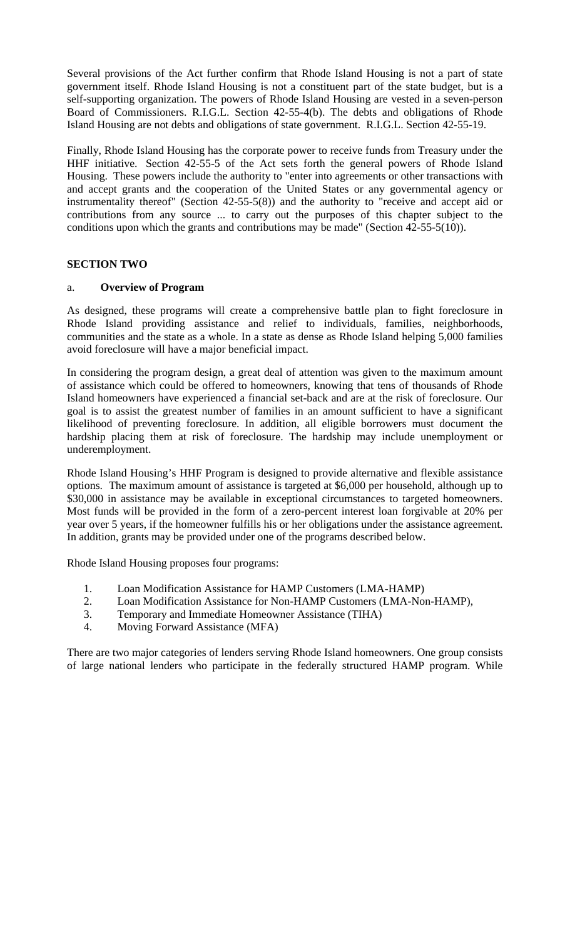Several provisions of the Act further confirm that Rhode Island Housing is not a part of state government itself. Rhode Island Housing is not a constituent part of the state budget, but is a self-supporting organization. The powers of Rhode Island Housing are vested in a seven-person Board of Commissioners. R.I.G.L. Section 42-55-4(b). The debts and obligations of Rhode Island Housing are not debts and obligations of state government. R.I.G.L. Section 42-55-19.

Finally, Rhode Island Housing has the corporate power to receive funds from Treasury under the HHF initiative. Section 42-55-5 of the Act sets forth the general powers of Rhode Island Housing. These powers include the authority to "enter into agreements or other transactions with and accept grants and the cooperation of the United States or any governmental agency or instrumentality thereof" (Section 42-55-5(8)) and the authority to "receive and accept aid or contributions from any source ... to carry out the purposes of this chapter subject to the conditions upon which the grants and contributions may be made" (Section 42-55-5(10)).

## **SECTION TWO**

## a. **Overview of Program**

As designed, these programs will create a comprehensive battle plan to fight foreclosure in Rhode Island providing assistance and relief to individuals, families, neighborhoods, communities and the state as a whole. In a state as dense as Rhode Island helping 5,000 families avoid foreclosure will have a major beneficial impact.

In considering the program design, a great deal of attention was given to the maximum amount of assistance which could be offered to homeowners, knowing that tens of thousands of Rhode Island homeowners have experienced a financial set-back and are at the risk of foreclosure. Our goal is to assist the greatest number of families in an amount sufficient to have a significant likelihood of preventing foreclosure. In addition, all eligible borrowers must document the hardship placing them at risk of foreclosure. The hardship may include unemployment or underemployment.

Rhode Island Housing's HHF Program is designed to provide alternative and flexible assistance options. The maximum amount of assistance is targeted at \$6,000 per household, although up to \$30,000 in assistance may be available in exceptional circumstances to targeted homeowners. Most funds will be provided in the form of a zero-percent interest loan forgivable at 20% per year over 5 years, if the homeowner fulfills his or her obligations under the assistance agreement. In addition, grants may be provided under one of the programs described below.

Rhode Island Housing proposes four programs:

- 1. Loan Modification Assistance for HAMP Customers (LMA-HAMP)
- 2. Loan Modification Assistance for Non-HAMP Customers (LMA-Non-HAMP),
- 3. Temporary and Immediate Homeowner Assistance (TIHA)
- 4. Moving Forward Assistance (MFA)

There are two major categories of lenders serving Rhode Island homeowners. One group consists of large national lenders who participate in the federally structured HAMP program. While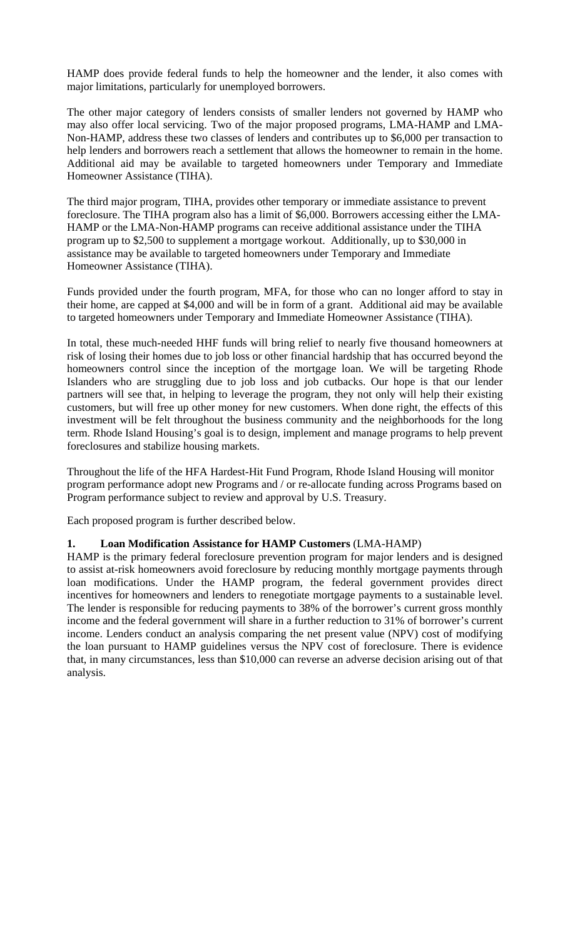HAMP does provide federal funds to help the homeowner and the lender, it also comes with major limitations, particularly for unemployed borrowers.

The other major category of lenders consists of smaller lenders not governed by HAMP who may also offer local servicing. Two of the major proposed programs, LMA-HAMP and LMA-Non-HAMP, address these two classes of lenders and contributes up to \$6,000 per transaction to help lenders and borrowers reach a settlement that allows the homeowner to remain in the home. Additional aid may be available to targeted homeowners under Temporary and Immediate Homeowner Assistance (TIHA).

The third major program, TIHA, provides other temporary or immediate assistance to prevent foreclosure. The TIHA program also has a limit of \$6,000. Borrowers accessing either the LMA-HAMP or the LMA-Non-HAMP programs can receive additional assistance under the TIHA program up to \$2,500 to supplement a mortgage workout. Additionally, up to \$30,000 in assistance may be available to targeted homeowners under Temporary and Immediate Homeowner Assistance (TIHA).

Funds provided under the fourth program, MFA, for those who can no longer afford to stay in their home, are capped at \$4,000 and will be in form of a grant. Additional aid may be available to targeted homeowners under Temporary and Immediate Homeowner Assistance (TIHA).

In total, these much-needed HHF funds will bring relief to nearly five thousand homeowners at risk of losing their homes due to job loss or other financial hardship that has occurred beyond the homeowners control since the inception of the mortgage loan. We will be targeting Rhode Islanders who are struggling due to job loss and job cutbacks. Our hope is that our lender partners will see that, in helping to leverage the program, they not only will help their existing customers, but will free up other money for new customers. When done right, the effects of this investment will be felt throughout the business community and the neighborhoods for the long term. Rhode Island Housing's goal is to design, implement and manage programs to help prevent foreclosures and stabilize housing markets.

Throughout the life of the HFA Hardest-Hit Fund Program, Rhode Island Housing will monitor program performance adopt new Programs and / or re-allocate funding across Programs based on Program performance subject to review and approval by U.S. Treasury.

Each proposed program is further described below.

## **1. Loan Modification Assistance for HAMP Customers** (LMA-HAMP)

HAMP is the primary federal foreclosure prevention program for major lenders and is designed to assist at-risk homeowners avoid foreclosure by reducing monthly mortgage payments through loan modifications. Under the HAMP program, the federal government provides direct incentives for homeowners and lenders to renegotiate mortgage payments to a sustainable level. The lender is responsible for reducing payments to 38% of the borrower's current gross monthly income and the federal government will share in a further reduction to 31% of borrower's current income. Lenders conduct an analysis comparing the net present value (NPV) cost of modifying the loan pursuant to HAMP guidelines versus the NPV cost of foreclosure. There is evidence that, in many circumstances, less than \$10,000 can reverse an adverse decision arising out of that analysis.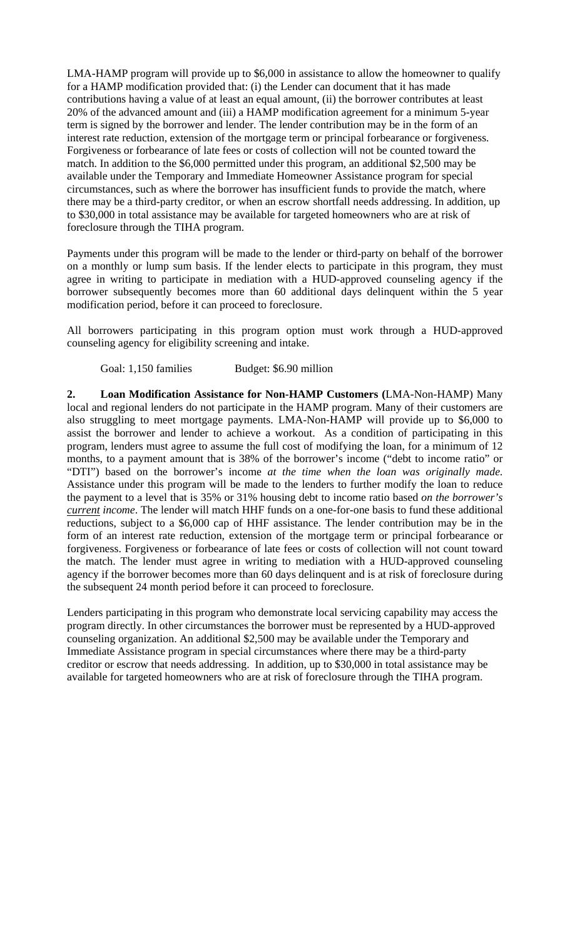LMA-HAMP program will provide up to \$6,000 in assistance to allow the homeowner to qualify for a HAMP modification provided that: (i) the Lender can document that it has made contributions having a value of at least an equal amount, (ii) the borrower contributes at least 20% of the advanced amount and (iii) a HAMP modification agreement for a minimum 5-year term is signed by the borrower and lender. The lender contribution may be in the form of an interest rate reduction, extension of the mortgage term or principal forbearance or forgiveness. Forgiveness or forbearance of late fees or costs of collection will not be counted toward the match. In addition to the \$6,000 permitted under this program, an additional \$2,500 may be available under the Temporary and Immediate Homeowner Assistance program for special circumstances, such as where the borrower has insufficient funds to provide the match, where there may be a third-party creditor, or when an escrow shortfall needs addressing. In addition, up to \$30,000 in total assistance may be available for targeted homeowners who are at risk of foreclosure through the TIHA program.

Payments under this program will be made to the lender or third-party on behalf of the borrower on a monthly or lump sum basis. If the lender elects to participate in this program, they must agree in writing to participate in mediation with a HUD-approved counseling agency if the borrower subsequently becomes more than 60 additional days delinquent within the 5 year modification period, before it can proceed to foreclosure.

All borrowers participating in this program option must work through a HUD-approved counseling agency for eligibility screening and intake.

Goal: 1,150 families Budget: \$6.90 million

**2. Loan Modification Assistance for Non-HAMP Customers (**LMA-Non-HAMP) Many local and regional lenders do not participate in the HAMP program. Many of their customers are also struggling to meet mortgage payments. LMA-Non-HAMP will provide up to \$6,000 to assist the borrower and lender to achieve a workout. As a condition of participating in this program, lenders must agree to assume the full cost of modifying the loan, for a minimum of 12 months, to a payment amount that is 38% of the borrower's income ("debt to income ratio" or "DTI") based on the borrower's income *at the time when the loan was originally made.*  Assistance under this program will be made to the lenders to further modify the loan to reduce the payment to a level that is 35% or 31% housing debt to income ratio based *on the borrower's current income*. The lender will match HHF funds on a one-for-one basis to fund these additional reductions, subject to a \$6,000 cap of HHF assistance. The lender contribution may be in the form of an interest rate reduction, extension of the mortgage term or principal forbearance or forgiveness. Forgiveness or forbearance of late fees or costs of collection will not count toward the match. The lender must agree in writing to mediation with a HUD-approved counseling agency if the borrower becomes more than 60 days delinquent and is at risk of foreclosure during the subsequent 24 month period before it can proceed to foreclosure.

Lenders participating in this program who demonstrate local servicing capability may access the program directly. In other circumstances the borrower must be represented by a HUD-approved counseling organization. An additional \$2,500 may be available under the Temporary and Immediate Assistance program in special circumstances where there may be a third-party creditor or escrow that needs addressing. In addition, up to \$30,000 in total assistance may be available for targeted homeowners who are at risk of foreclosure through the TIHA program.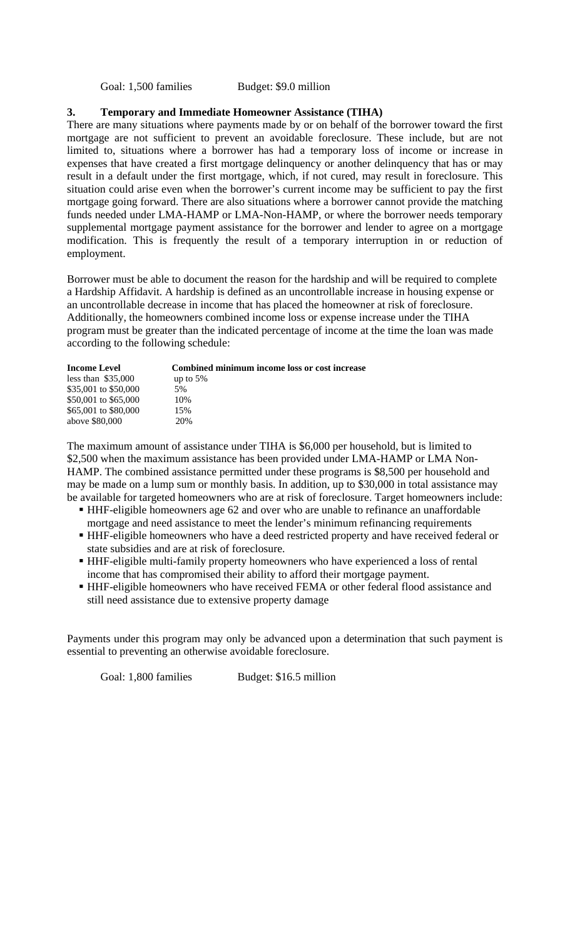Goal: 1,500 families Budget: \$9.0 million

#### **3. Temporary and Immediate Homeowner Assistance (TIHA)**

There are many situations where payments made by or on behalf of the borrower toward the first mortgage are not sufficient to prevent an avoidable foreclosure. These include, but are not limited to, situations where a borrower has had a temporary loss of income or increase in expenses that have created a first mortgage delinquency or another delinquency that has or may result in a default under the first mortgage, which, if not cured, may result in foreclosure. This situation could arise even when the borrower's current income may be sufficient to pay the first mortgage going forward. There are also situations where a borrower cannot provide the matching funds needed under LMA-HAMP or LMA-Non-HAMP, or where the borrower needs temporary supplemental mortgage payment assistance for the borrower and lender to agree on a mortgage modification. This is frequently the result of a temporary interruption in or reduction of employment.

Borrower must be able to document the reason for the hardship and will be required to complete a Hardship Affidavit. A hardship is defined as an uncontrollable increase in housing expense or an uncontrollable decrease in income that has placed the homeowner at risk of foreclosure. Additionally, the homeowners combined income loss or expense increase under the TIHA program must be greater than the indicated percentage of income at the time the loan was made according to the following schedule:

| <b>Income Level</b>  | Combined minimum income loss or cost increase |
|----------------------|-----------------------------------------------|
| less than $$35,000$  | up to $5%$                                    |
| \$35,001 to \$50,000 | 5%                                            |
| \$50,001 to \$65,000 | 10%                                           |
| \$65,001 to \$80,000 | 15%                                           |
| above \$80,000       | 20%                                           |

The maximum amount of assistance under TIHA is \$6,000 per household, but is limited to \$2,500 when the maximum assistance has been provided under LMA-HAMP or LMA Non-HAMP. The combined assistance permitted under these programs is \$8,500 per household and may be made on a lump sum or monthly basis. In addition, up to \$30,000 in total assistance may be available for targeted homeowners who are at risk of foreclosure. Target homeowners include:

- HHF-eligible homeowners age 62 and over who are unable to refinance an unaffordable mortgage and need assistance to meet the lender's minimum refinancing requirements
- HHF-eligible homeowners who have a deed restricted property and have received federal or state subsidies and are at risk of foreclosure.
- HHF-eligible multi-family property homeowners who have experienced a loss of rental income that has compromised their ability to afford their mortgage payment.
- HHF-eligible homeowners who have received FEMA or other federal flood assistance and still need assistance due to extensive property damage

Payments under this program may only be advanced upon a determination that such payment is essential to preventing an otherwise avoidable foreclosure.

Goal: 1,800 families Budget: \$16.5 million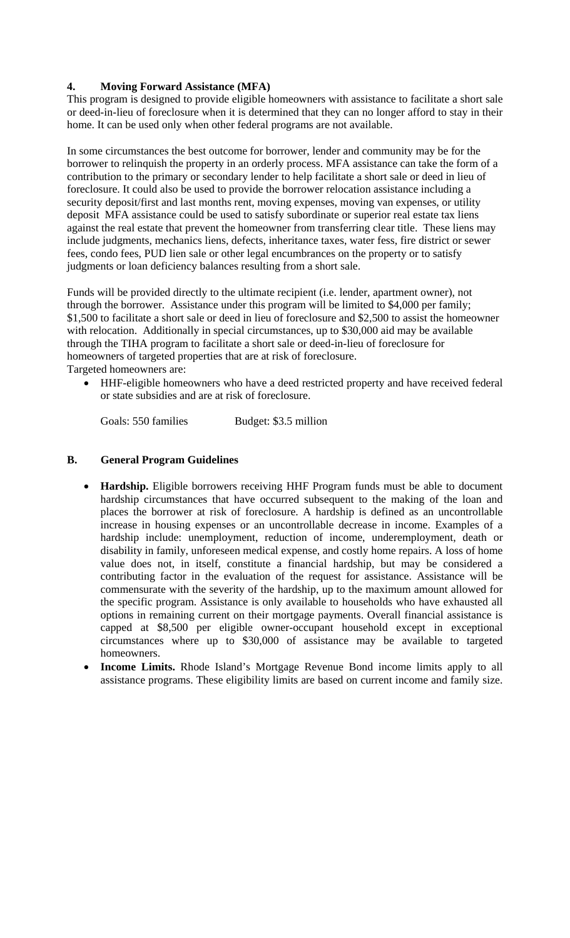## **4. Moving Forward Assistance (MFA)**

This program is designed to provide eligible homeowners with assistance to facilitate a short sale or deed-in-lieu of foreclosure when it is determined that they can no longer afford to stay in their home. It can be used only when other federal programs are not available.

In some circumstances the best outcome for borrower, lender and community may be for the borrower to relinquish the property in an orderly process. MFA assistance can take the form of a contribution to the primary or secondary lender to help facilitate a short sale or deed in lieu of foreclosure. It could also be used to provide the borrower relocation assistance including a security deposit/first and last months rent, moving expenses, moving van expenses, or utility deposit MFA assistance could be used to satisfy subordinate or superior real estate tax liens against the real estate that prevent the homeowner from transferring clear title. These liens may include judgments, mechanics liens, defects, inheritance taxes, water fess, fire district or sewer fees, condo fees, PUD lien sale or other legal encumbrances on the property or to satisfy judgments or loan deficiency balances resulting from a short sale.

Funds will be provided directly to the ultimate recipient (i.e. lender, apartment owner), not through the borrower. Assistance under this program will be limited to \$4,000 per family; \$1,500 to facilitate a short sale or deed in lieu of foreclosure and \$2,500 to assist the homeowner with relocation. Additionally in special circumstances, up to \$30,000 aid may be available through the TIHA program to facilitate a short sale or deed-in-lieu of foreclosure for homeowners of targeted properties that are at risk of foreclosure. Targeted homeowners are:

• HHF-eligible homeowners who have a deed restricted property and have received federal or state subsidies and are at risk of foreclosure.

Goals: 550 families Budget: \$3.5 million

## **B. General Program Guidelines**

- **Hardship.** Eligible borrowers receiving HHF Program funds must be able to document hardship circumstances that have occurred subsequent to the making of the loan and places the borrower at risk of foreclosure. A hardship is defined as an uncontrollable increase in housing expenses or an uncontrollable decrease in income. Examples of a hardship include: unemployment, reduction of income, underemployment, death or disability in family, unforeseen medical expense, and costly home repairs. A loss of home value does not, in itself, constitute a financial hardship, but may be considered a contributing factor in the evaluation of the request for assistance. Assistance will be commensurate with the severity of the hardship, up to the maximum amount allowed for the specific program. Assistance is only available to households who have exhausted all options in remaining current on their mortgage payments. Overall financial assistance is capped at \$8,500 per eligible owner-occupant household except in exceptional circumstances where up to \$30,000 of assistance may be available to targeted homeowners.
- **Income Limits.** Rhode Island's Mortgage Revenue Bond income limits apply to all assistance programs. These eligibility limits are based on current income and family size.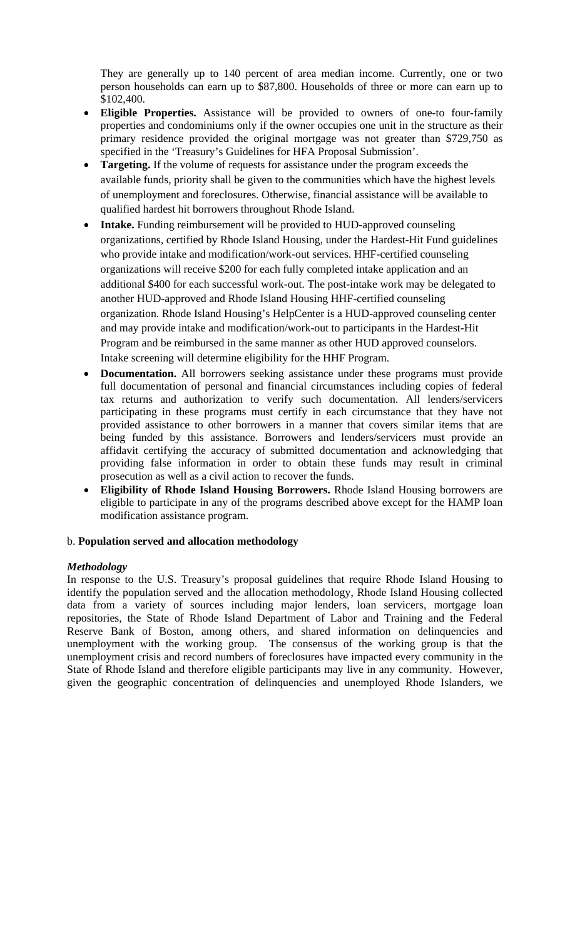They are generally up to 140 percent of area median income. Currently, one or two person households can earn up to \$87,800. Households of three or more can earn up to \$102,400.

- **Eligible Properties.** Assistance will be provided to owners of one-to four-family properties and condominiums only if the owner occupies one unit in the structure as their primary residence provided the original mortgage was not greater than \$729,750 as specified in the 'Treasury's Guidelines for HFA Proposal Submission'.
- **Targeting.** If the volume of requests for assistance under the program exceeds the available funds, priority shall be given to the communities which have the highest levels of unemployment and foreclosures. Otherwise, financial assistance will be available to qualified hardest hit borrowers throughout Rhode Island.
- **Intake.** Funding reimbursement will be provided to HUD-approved counseling organizations, certified by Rhode Island Housing, under the Hardest-Hit Fund guidelines who provide intake and modification/work-out services. HHF-certified counseling organizations will receive \$200 for each fully completed intake application and an additional \$400 for each successful work-out. The post-intake work may be delegated to another HUD-approved and Rhode Island Housing HHF-certified counseling organization. Rhode Island Housing's HelpCenter is a HUD-approved counseling center and may provide intake and modification/work-out to participants in the Hardest-Hit Program and be reimbursed in the same manner as other HUD approved counselors. Intake screening will determine eligibility for the HHF Program.
- **Documentation.** All borrowers seeking assistance under these programs must provide full documentation of personal and financial circumstances including copies of federal tax returns and authorization to verify such documentation. All lenders/servicers participating in these programs must certify in each circumstance that they have not provided assistance to other borrowers in a manner that covers similar items that are being funded by this assistance. Borrowers and lenders/servicers must provide an affidavit certifying the accuracy of submitted documentation and acknowledging that providing false information in order to obtain these funds may result in criminal prosecution as well as a civil action to recover the funds.
- **Eligibility of Rhode Island Housing Borrowers.** Rhode Island Housing borrowers are eligible to participate in any of the programs described above except for the HAMP loan modification assistance program.

## b. **Population served and allocation methodology**

#### *Methodology*

In response to the U.S. Treasury's proposal guidelines that require Rhode Island Housing to identify the population served and the allocation methodology, Rhode Island Housing collected data from a variety of sources including major lenders, loan servicers, mortgage loan repositories, the State of Rhode Island Department of Labor and Training and the Federal Reserve Bank of Boston, among others, and shared information on delinquencies and unemployment with the working group. The consensus of the working group is that the unemployment crisis and record numbers of foreclosures have impacted every community in the State of Rhode Island and therefore eligible participants may live in any community. However, given the geographic concentration of delinquencies and unemployed Rhode Islanders, we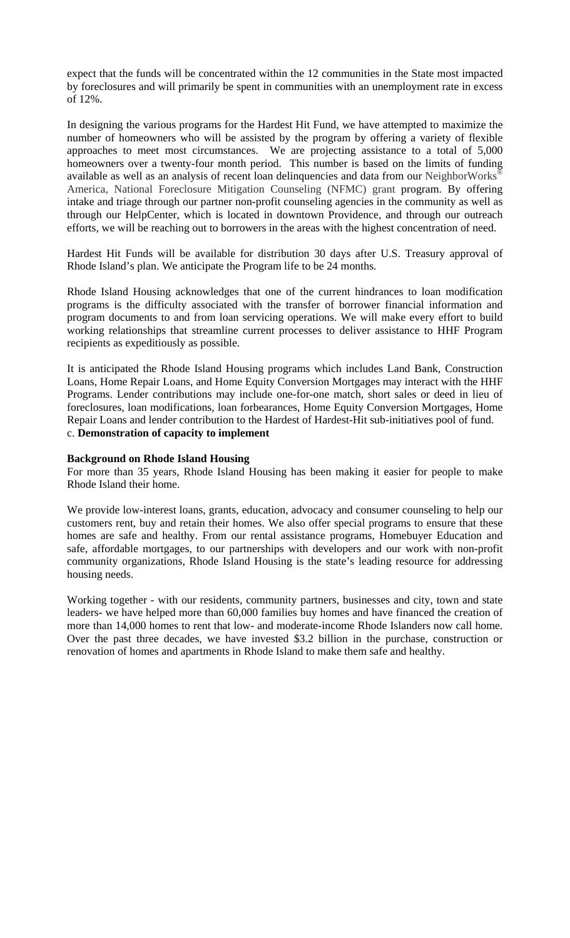expect that the funds will be concentrated within the 12 communities in the State most impacted by foreclosures and will primarily be spent in communities with an unemployment rate in excess of 12%.

In designing the various programs for the Hardest Hit Fund, we have attempted to maximize the number of homeowners who will be assisted by the program by offering a variety of flexible approaches to meet most circumstances. We are projecting assistance to a total of 5,000 homeowners over a twenty-four month period. This number is based on the limits of funding available as well as an analysis of recent loan delinquencies and data from our NeighborWorks® America, National Foreclosure Mitigation Counseling (NFMC) grant program. By offering intake and triage through our partner non-profit counseling agencies in the community as well as through our HelpCenter, which is located in downtown Providence, and through our outreach efforts, we will be reaching out to borrowers in the areas with the highest concentration of need.

Hardest Hit Funds will be available for distribution 30 days after U.S. Treasury approval of Rhode Island's plan. We anticipate the Program life to be 24 months.

Rhode Island Housing acknowledges that one of the current hindrances to loan modification programs is the difficulty associated with the transfer of borrower financial information and program documents to and from loan servicing operations. We will make every effort to build working relationships that streamline current processes to deliver assistance to HHF Program recipients as expeditiously as possible.

It is anticipated the Rhode Island Housing programs which includes Land Bank, Construction Loans, Home Repair Loans, and Home Equity Conversion Mortgages may interact with the HHF Programs. Lender contributions may include one-for-one match, short sales or deed in lieu of foreclosures, loan modifications, loan forbearances, Home Equity Conversion Mortgages, Home Repair Loans and lender contribution to the Hardest of Hardest-Hit sub-initiatives pool of fund. c. **Demonstration of capacity to implement** 

## **Background on Rhode Island Housing**

For more than 35 years, Rhode Island Housing has been making it easier for people to make Rhode Island their home.

We provide low-interest loans, grants, education, advocacy and consumer counseling to help our customers rent, buy and retain their homes. We also offer special programs to ensure that these homes are safe and healthy. From our rental assistance programs, Homebuyer Education and safe, affordable mortgages, to our partnerships with developers and our work with non-profit community organizations, Rhode Island Housing is the state's leading resource for addressing housing needs.

Working together - with our residents, community partners, businesses and city, town and state leaders- we have helped more than 60,000 families buy homes and have financed the creation of more than 14,000 homes to rent that low- and moderate-income Rhode Islanders now call home. Over the past three decades, we have invested \$3.2 billion in the purchase, construction or renovation of homes and apartments in Rhode Island to make them safe and healthy.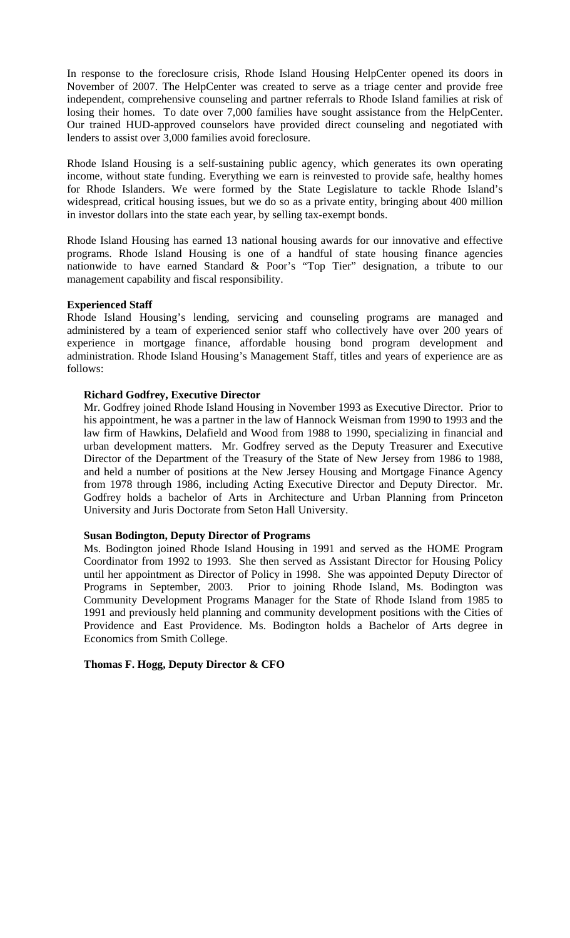In response to the foreclosure crisis, Rhode Island Housing HelpCenter opened its doors in November of 2007. The HelpCenter was created to serve as a triage center and provide free independent, comprehensive counseling and partner referrals to Rhode Island families at risk of losing their homes. To date over 7,000 families have sought assistance from the HelpCenter. Our trained HUD-approved counselors have provided direct counseling and negotiated with lenders to assist over 3,000 families avoid foreclosure.

Rhode Island Housing is a self-sustaining public agency, which generates its own operating income, without state funding. Everything we earn is reinvested to provide safe, healthy homes for Rhode Islanders. We were formed by the State Legislature to tackle Rhode Island's widespread, critical housing issues, but we do so as a private entity, bringing about 400 million in investor dollars into the state each year, by selling tax-exempt bonds.

Rhode Island Housing has earned 13 national housing awards for our innovative and effective programs. Rhode Island Housing is one of a handful of state housing finance agencies nationwide to have earned Standard & Poor's "Top Tier" designation, a tribute to our management capability and fiscal responsibility.

## **Experienced Staff**

Rhode Island Housing's lending, servicing and counseling programs are managed and administered by a team of experienced senior staff who collectively have over 200 years of experience in mortgage finance, affordable housing bond program development and administration. Rhode Island Housing's Management Staff, titles and years of experience are as follows:

## **Richard Godfrey, Executive Director**

Mr. Godfrey joined Rhode Island Housing in November 1993 as Executive Director. Prior to his appointment, he was a partner in the law of Hannock Weisman from 1990 to 1993 and the law firm of Hawkins, Delafield and Wood from 1988 to 1990, specializing in financial and urban development matters. Mr. Godfrey served as the Deputy Treasurer and Executive Director of the Department of the Treasury of the State of New Jersey from 1986 to 1988, and held a number of positions at the New Jersey Housing and Mortgage Finance Agency from 1978 through 1986, including Acting Executive Director and Deputy Director. Mr. Godfrey holds a bachelor of Arts in Architecture and Urban Planning from Princeton University and Juris Doctorate from Seton Hall University.

#### **Susan Bodington, Deputy Director of Programs**

Ms. Bodington joined Rhode Island Housing in 1991 and served as the HOME Program Coordinator from 1992 to 1993. She then served as Assistant Director for Housing Policy until her appointment as Director of Policy in 1998. She was appointed Deputy Director of Programs in September, 2003. Prior to joining Rhode Island, Ms. Bodington was Community Development Programs Manager for the State of Rhode Island from 1985 to 1991 and previously held planning and community development positions with the Cities of Providence and East Providence. Ms. Bodington holds a Bachelor of Arts degree in Economics from Smith College.

## **Thomas F. Hogg, Deputy Director & CFO**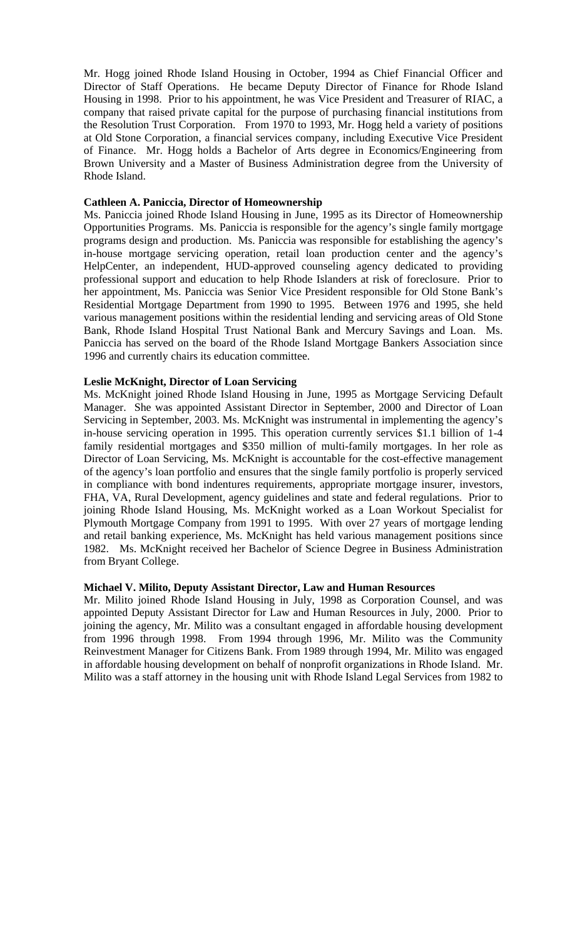Mr. Hogg joined Rhode Island Housing in October, 1994 as Chief Financial Officer and Director of Staff Operations. He became Deputy Director of Finance for Rhode Island Housing in 1998. Prior to his appointment, he was Vice President and Treasurer of RIAC, a company that raised private capital for the purpose of purchasing financial institutions from the Resolution Trust Corporation. From 1970 to 1993, Mr. Hogg held a variety of positions at Old Stone Corporation, a financial services company, including Executive Vice President of Finance. Mr. Hogg holds a Bachelor of Arts degree in Economics/Engineering from Brown University and a Master of Business Administration degree from the University of Rhode Island.

#### **Cathleen A. Paniccia, Director of Homeownership**

Ms. Paniccia joined Rhode Island Housing in June, 1995 as its Director of Homeownership Opportunities Programs. Ms. Paniccia is responsible for the agency's single family mortgage programs design and production. Ms. Paniccia was responsible for establishing the agency's in-house mortgage servicing operation, retail loan production center and the agency's HelpCenter, an independent, HUD-approved counseling agency dedicated to providing professional support and education to help Rhode Islanders at risk of foreclosure. Prior to her appointment, Ms. Paniccia was Senior Vice President responsible for Old Stone Bank's Residential Mortgage Department from 1990 to 1995. Between 1976 and 1995, she held various management positions within the residential lending and servicing areas of Old Stone Bank, Rhode Island Hospital Trust National Bank and Mercury Savings and Loan. Ms. Paniccia has served on the board of the Rhode Island Mortgage Bankers Association since 1996 and currently chairs its education committee.

#### **Leslie McKnight, Director of Loan Servicing**

Ms. McKnight joined Rhode Island Housing in June, 1995 as Mortgage Servicing Default Manager. She was appointed Assistant Director in September, 2000 and Director of Loan Servicing in September, 2003. Ms. McKnight was instrumental in implementing the agency's in-house servicing operation in 1995. This operation currently services \$1.1 billion of 1-4 family residential mortgages and \$350 million of multi-family mortgages. In her role as Director of Loan Servicing, Ms. McKnight is accountable for the cost-effective management of the agency's loan portfolio and ensures that the single family portfolio is properly serviced in compliance with bond indentures requirements, appropriate mortgage insurer, investors, FHA, VA, Rural Development, agency guidelines and state and federal regulations. Prior to joining Rhode Island Housing, Ms. McKnight worked as a Loan Workout Specialist for Plymouth Mortgage Company from 1991 to 1995. With over 27 years of mortgage lending and retail banking experience, Ms. McKnight has held various management positions since 1982. Ms. McKnight received her Bachelor of Science Degree in Business Administration from Bryant College.

#### **Michael V. Milito, Deputy Assistant Director, Law and Human Resources**

Mr. Milito joined Rhode Island Housing in July, 1998 as Corporation Counsel, and was appointed Deputy Assistant Director for Law and Human Resources in July, 2000. Prior to joining the agency, Mr. Milito was a consultant engaged in affordable housing development from 1996 through 1998. From 1994 through 1996, Mr. Milito was the Community Reinvestment Manager for Citizens Bank. From 1989 through 1994, Mr. Milito was engaged in affordable housing development on behalf of nonprofit organizations in Rhode Island. Mr. Milito was a staff attorney in the housing unit with Rhode Island Legal Services from 1982 to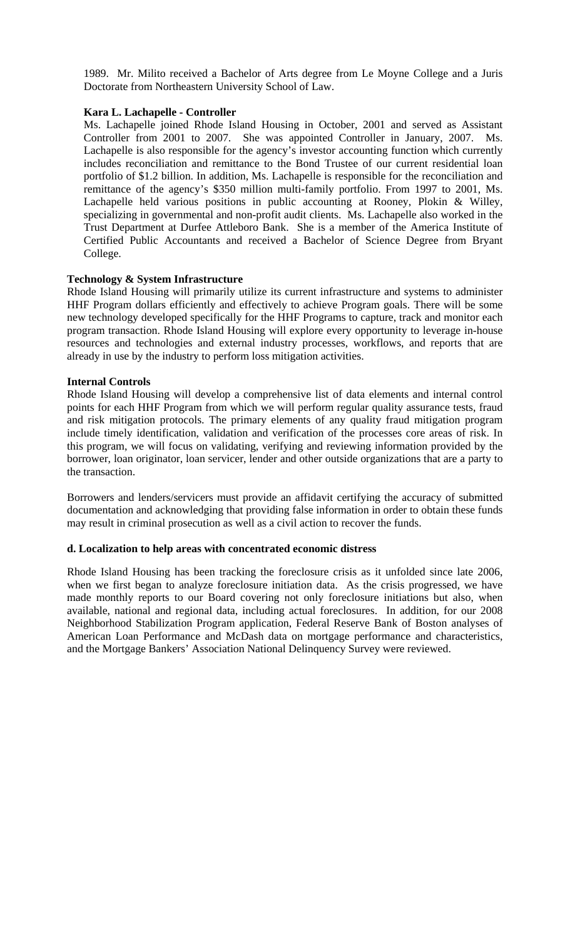1989. Mr. Milito received a Bachelor of Arts degree from Le Moyne College and a Juris Doctorate from Northeastern University School of Law.

## **Kara L. Lachapelle - Controller**

Ms. Lachapelle joined Rhode Island Housing in October, 2001 and served as Assistant Controller from 2001 to 2007. She was appointed Controller in January, 2007. Ms. Lachapelle is also responsible for the agency's investor accounting function which currently includes reconciliation and remittance to the Bond Trustee of our current residential loan portfolio of \$1.2 billion. In addition, Ms. Lachapelle is responsible for the reconciliation and remittance of the agency's \$350 million multi-family portfolio. From 1997 to 2001, Ms. Lachapelle held various positions in public accounting at Rooney, Plokin & Willey, specializing in governmental and non-profit audit clients. Ms. Lachapelle also worked in the Trust Department at Durfee Attleboro Bank. She is a member of the America Institute of Certified Public Accountants and received a Bachelor of Science Degree from Bryant College.

## **Technology & System Infrastructure**

Rhode Island Housing will primarily utilize its current infrastructure and systems to administer HHF Program dollars efficiently and effectively to achieve Program goals. There will be some new technology developed specifically for the HHF Programs to capture, track and monitor each program transaction. Rhode Island Housing will explore every opportunity to leverage in-house resources and technologies and external industry processes, workflows, and reports that are already in use by the industry to perform loss mitigation activities.

## **Internal Controls**

Rhode Island Housing will develop a comprehensive list of data elements and internal control points for each HHF Program from which we will perform regular quality assurance tests, fraud and risk mitigation protocols. The primary elements of any quality fraud mitigation program include timely identification, validation and verification of the processes core areas of risk. In this program, we will focus on validating, verifying and reviewing information provided by the borrower, loan originator, loan servicer, lender and other outside organizations that are a party to the transaction.

Borrowers and lenders/servicers must provide an affidavit certifying the accuracy of submitted documentation and acknowledging that providing false information in order to obtain these funds may result in criminal prosecution as well as a civil action to recover the funds.

## **d. Localization to help areas with concentrated economic distress**

Rhode Island Housing has been tracking the foreclosure crisis as it unfolded since late 2006, when we first began to analyze foreclosure initiation data. As the crisis progressed, we have made monthly reports to our Board covering not only foreclosure initiations but also, when available, national and regional data, including actual foreclosures. In addition, for our 2008 Neighborhood Stabilization Program application, Federal Reserve Bank of Boston analyses of American Loan Performance and McDash data on mortgage performance and characteristics, and the Mortgage Bankers' Association National Delinquency Survey were reviewed.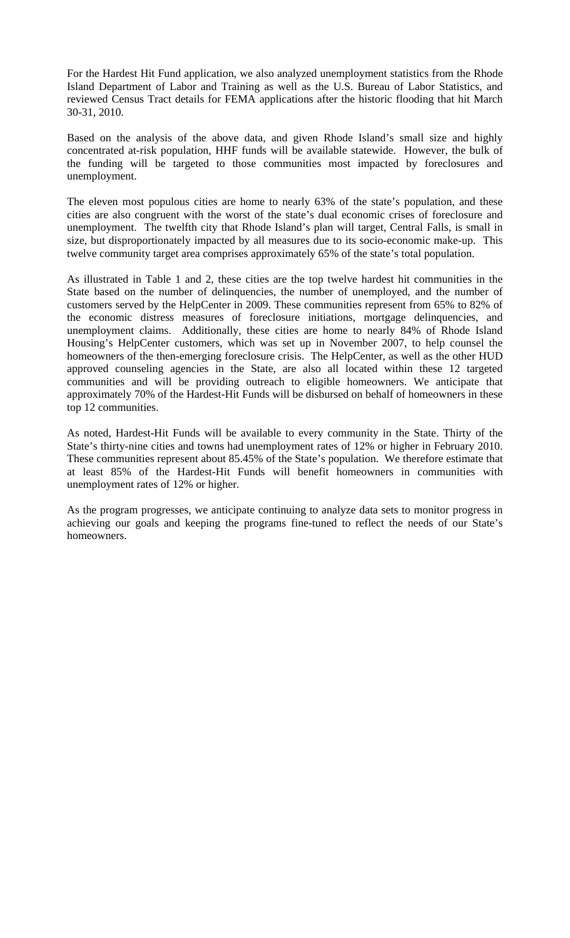For the Hardest Hit Fund application, we also analyzed unemployment statistics from the Rhode Island Department of Labor and Training as well as the U.S. Bureau of Labor Statistics, and reviewed Census Tract details for FEMA applications after the historic flooding that hit March 30-31, 2010.

Based on the analysis of the above data, and given Rhode Island's small size and highly concentrated at-risk population, HHF funds will be available statewide. However, the bulk of the funding will be targeted to those communities most impacted by foreclosures and unemployment.

The eleven most populous cities are home to nearly 63% of the state's population, and these cities are also congruent with the worst of the state's dual economic crises of foreclosure and unemployment. The twelfth city that Rhode Island's plan will target, Central Falls, is small in size, but disproportionately impacted by all measures due to its socio-economic make-up. This twelve community target area comprises approximately 65% of the state's total population.

As illustrated in Table 1 and 2, these cities are the top twelve hardest hit communities in the State based on the number of delinquencies, the number of unemployed, and the number of customers served by the HelpCenter in 2009. These communities represent from 65% to 82% of the economic distress measures of foreclosure initiations, mortgage delinquencies, and unemployment claims. Additionally, these cities are home to nearly 84% of Rhode Island Housing's HelpCenter customers, which was set up in November 2007, to help counsel the homeowners of the then-emerging foreclosure crisis. The HelpCenter, as well as the other HUD approved counseling agencies in the State, are also all located within these 12 targeted communities and will be providing outreach to eligible homeowners. We anticipate that approximately 70% of the Hardest-Hit Funds will be disbursed on behalf of homeowners in these top 12 communities.

As noted, Hardest-Hit Funds will be available to every community in the State. Thirty of the State's thirty-nine cities and towns had unemployment rates of 12% or higher in February 2010. These communities represent about 85.45% of the State's population. We therefore estimate that at least 85% of the Hardest-Hit Funds will benefit homeowners in communities with unemployment rates of 12% or higher.

As the program progresses, we anticipate continuing to analyze data sets to monitor progress in achieving our goals and keeping the programs fine-tuned to reflect the needs of our State's homeowners.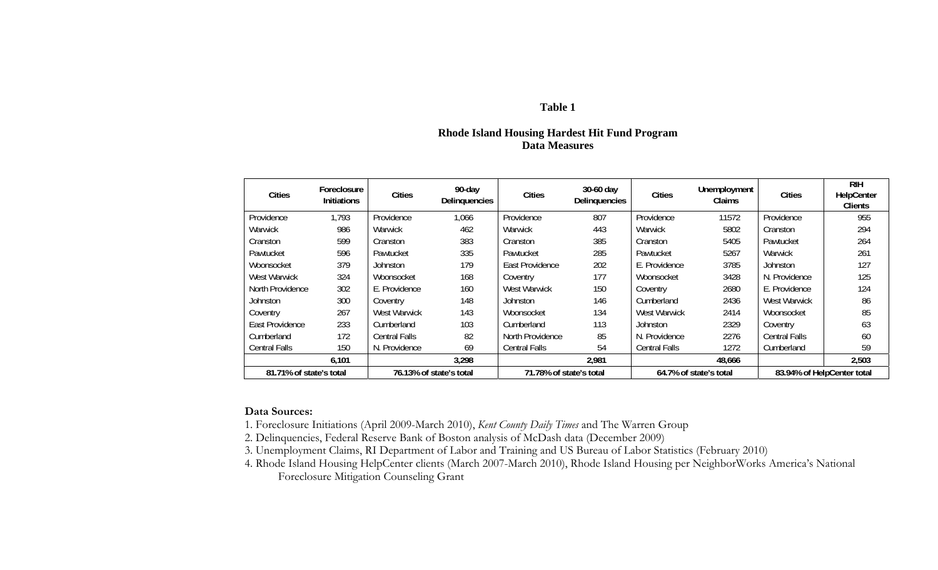#### **Table 1**

## **Rhode Island Housing Hardest Hit Fund Program Data Measures**

| <b>Cities</b>           | Foreclosure<br><b>Initiations</b> | <b>Cities</b>        | 90-day<br>Delinquencies | <b>Cities</b>           | 30-60 day<br>Delinquencies | <b>Cities</b>        | Unemployment<br>Claims | <b>Cities</b>              | <b>RIH</b><br>HelpCenter<br><b>Clients</b> |
|-------------------------|-----------------------------------|----------------------|-------------------------|-------------------------|----------------------------|----------------------|------------------------|----------------------------|--------------------------------------------|
| Providence              | 1,793                             | Providence           | 1,066                   | Providence              | 807                        | Providence           | 11572                  | Providence                 | 955                                        |
| Warwick                 | 986                               | Warwick              | 462                     | Warwick                 | 443                        | Warwick              | 5802                   | Cranston                   | 294                                        |
| Cranston                | 599                               | Cranston             | 383                     | Cranston                | 385                        | Cranston             | 5405                   | Pawtucket                  | 264                                        |
| Pawtucket               | 596                               | Pawtucket            | 335                     | Pawtucket               | 285                        | Pawtucket            | 5267                   | Warwick                    | 261                                        |
| Woonsocket              | 379                               | Johnston             | 179                     | East Providence         | 202                        | E. Providence        | 3785                   | Johnston                   | 127                                        |
| West Warwick            | 324                               | Woonsocket           | 168                     | Coventry                | 177                        | Woonsocket           | 3428                   | N. Providence              | 125                                        |
| North Providence        | 302                               | E. Providence        | 160                     | West Warwick            | 150                        | Coventry             | 2680                   | E. Providence              | 124                                        |
| Johnston                | 300                               | Coventry             | 148                     | Johnston                | 146                        | Cumberland           | 2436                   | West Warwick               | 86                                         |
| Coventry                | 267                               | West Warwick         | 143                     | Woonsocket              | 134                        | West Warwick         | 2414                   | Woonsocket                 | 85                                         |
| East Providence         | 233                               | Cumberland           | 103                     | Cumberland              | 113                        | Johnston             | 2329                   | Coventry                   | 63                                         |
| Cumberland              | 172                               | <b>Central Falls</b> | 82                      | North Providence        | 85                         | N. Providence        | 2276                   | Central Falls              | 60                                         |
| <b>Central Falls</b>    | 150                               | N. Providence        | 69                      | <b>Central Falls</b>    | 54                         | <b>Central Falls</b> | 1272                   | Cumberland                 | 59                                         |
|                         | 6,101                             |                      | 3,298                   |                         | 2,981                      |                      | 48,666                 |                            | 2,503                                      |
| 81.71% of state's total |                                   |                      | 76.13% of state's total | 71.78% of state's total |                            |                      | 64.7% of state's total | 83.94% of HelpCenter total |                                            |

#### **Data Sources:**

- 1. Foreclosure Initiations (April 2009-March 2010), *Kent County Daily Times* and The Warren Group
- 2. Delinquencies, Federal Reserve Bank of Boston analysis of McDash data (December 2009)
- 3. Unemployment Claims, RI Department of Labor and Training and US Bureau of Labor Statistics (February 2010)
- 4. Rhode Island Housing HelpCenter clients (March 2007-March 2010), Rhode Island Housing per NeighborWorks America's National Foreclosure Mitigation Counseling Grant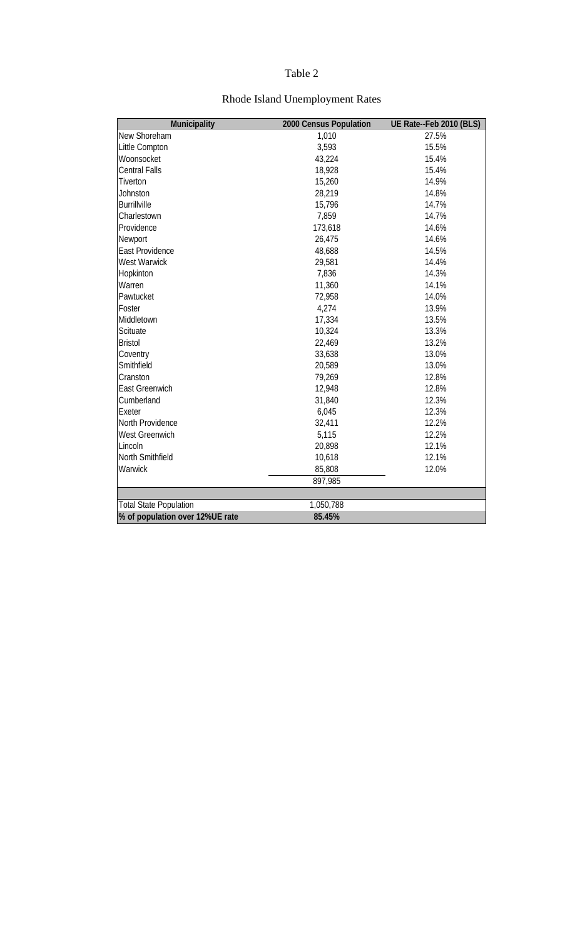# Table 2

| Municipality                    | 2000 Census Population | UE Rate--Feb 2010 (BLS) |
|---------------------------------|------------------------|-------------------------|
| New Shoreham                    | 1,010                  | 27.5%                   |
| Little Compton                  | 3,593                  | 15.5%                   |
| Woonsocket                      | 43,224                 | 15.4%                   |
| <b>Central Falls</b>            | 18,928                 | 15.4%                   |
| Tiverton                        | 15,260                 | 14.9%                   |
| Johnston                        | 28,219                 | 14.8%                   |
| <b>Burrillville</b>             | 15,796                 | 14.7%                   |
| Charlestown                     | 7,859                  | 14.7%                   |
| Providence                      | 173,618                | 14.6%                   |
| Newport                         | 26,475                 | 14.6%                   |
| East Providence                 | 48,688                 | 14.5%                   |
| <b>West Warwick</b>             | 29,581                 | 14.4%                   |
| Hopkinton                       | 7,836                  | 14.3%                   |
| Warren                          | 11,360                 | 14.1%                   |
| Pawtucket                       | 72,958                 | 14.0%                   |
| Foster                          | 4,274                  | 13.9%                   |
| Middletown                      | 17,334                 | 13.5%                   |
| Scituate                        | 10,324                 | 13.3%                   |
| <b>Bristol</b>                  | 22,469                 | 13.2%                   |
| Coventry                        | 33,638                 | 13.0%                   |
| Smithfield                      | 20,589                 | 13.0%                   |
| Cranston                        | 79,269                 | 12.8%                   |
| East Greenwich                  | 12,948                 | 12.8%                   |
| Cumberland                      | 31,840                 | 12.3%                   |
| Exeter                          | 6,045                  | 12.3%                   |
| North Providence                | 32,411                 | 12.2%                   |
| <b>West Greenwich</b>           | 5,115                  | 12.2%                   |
| Lincoln                         | 20,898                 | 12.1%                   |
| North Smithfield                | 10,618                 | 12.1%                   |
| Warwick                         | 85,808                 | 12.0%                   |
|                                 | 897,985                |                         |
|                                 |                        |                         |
| <b>Total State Population</b>   | 1,050,788              |                         |
| % of population over 12%UE rate | 85.45%                 |                         |

# Rhode Island Unemployment Rates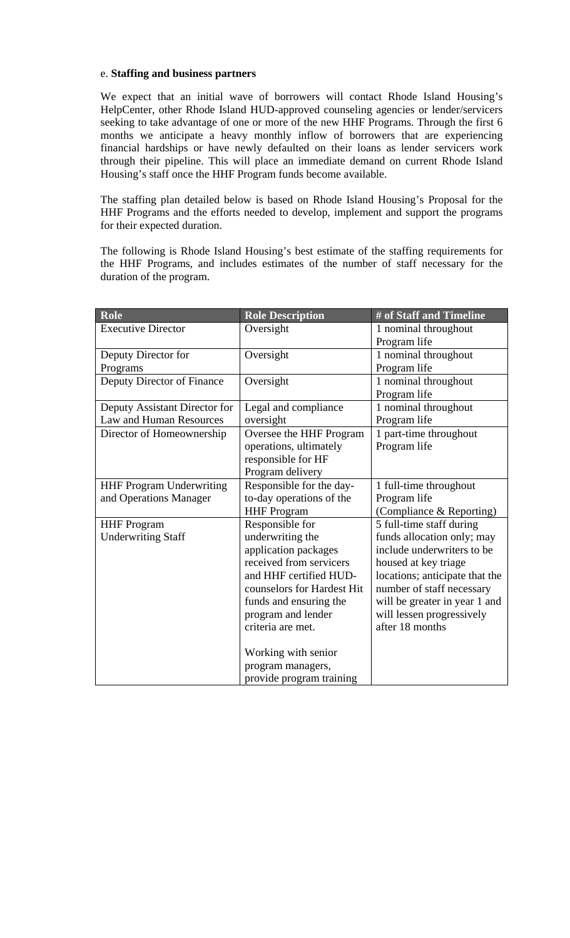### e. **Staffing and business partners**

We expect that an initial wave of borrowers will contact Rhode Island Housing's HelpCenter, other Rhode Island HUD-approved counseling agencies or lender/servicers seeking to take advantage of one or more of the new HHF Programs. Through the first 6 months we anticipate a heavy monthly inflow of borrowers that are experiencing financial hardships or have newly defaulted on their loans as lender servicers work through their pipeline. This will place an immediate demand on current Rhode Island Housing's staff once the HHF Program funds become available.

The staffing plan detailed below is based on Rhode Island Housing's Proposal for the HHF Programs and the efforts needed to develop, implement and support the programs for their expected duration.

The following is Rhode Island Housing's best estimate of the staffing requirements for the HHF Programs, and includes estimates of the number of staff necessary for the duration of the program.

| Role                            | <b>Role Description</b>    | # of Staff and Timeline        |
|---------------------------------|----------------------------|--------------------------------|
| <b>Executive Director</b>       | Oversight                  | 1 nominal throughout           |
|                                 |                            | Program life                   |
| Deputy Director for             | Oversight                  | 1 nominal throughout           |
| Programs                        |                            | Program life                   |
| Deputy Director of Finance      | Oversight                  | 1 nominal throughout           |
|                                 |                            | Program life                   |
| Deputy Assistant Director for   | Legal and compliance       | 1 nominal throughout           |
| Law and Human Resources         | oversight                  | Program life                   |
| Director of Homeownership       | Oversee the HHF Program    | 1 part-time throughout         |
|                                 | operations, ultimately     | Program life                   |
|                                 | responsible for HF         |                                |
|                                 | Program delivery           |                                |
| <b>HHF Program Underwriting</b> | Responsible for the day-   | 1 full-time throughout         |
| and Operations Manager          | to-day operations of the   | Program life                   |
|                                 | <b>HHF</b> Program         | (Compliance & Reporting)       |
| <b>HHF</b> Program              | Responsible for            | 5 full-time staff during       |
| <b>Underwriting Staff</b>       | underwriting the           | funds allocation only; may     |
|                                 | application packages       | include underwriters to be     |
|                                 | received from servicers    | housed at key triage           |
|                                 | and HHF certified HUD-     | locations; anticipate that the |
|                                 | counselors for Hardest Hit | number of staff necessary      |
|                                 | funds and ensuring the     | will be greater in year 1 and  |
|                                 | program and lender         | will lessen progressively      |
|                                 | criteria are met.          | after 18 months                |
|                                 |                            |                                |
|                                 | Working with senior        |                                |
|                                 | program managers,          |                                |
|                                 | provide program training   |                                |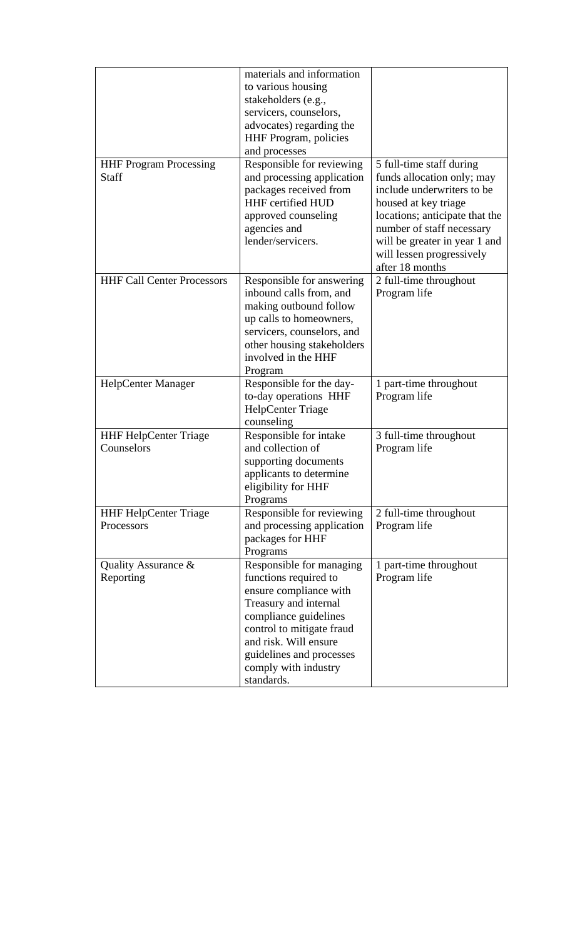|                                   | materials and information          |                                |
|-----------------------------------|------------------------------------|--------------------------------|
|                                   | to various housing                 |                                |
|                                   | stakeholders (e.g.,                |                                |
|                                   | servicers, counselors,             |                                |
|                                   | advocates) regarding the           |                                |
|                                   | <b>HHF</b> Program, policies       |                                |
|                                   | and processes                      |                                |
| <b>HHF Program Processing</b>     | Responsible for reviewing          | 5 full-time staff during       |
| <b>Staff</b>                      | and processing application         | funds allocation only; may     |
|                                   | packages received from             | include underwriters to be     |
|                                   | <b>HHF</b> certified HUD           | housed at key triage           |
|                                   | approved counseling                | locations; anticipate that the |
|                                   | agencies and                       | number of staff necessary      |
|                                   | lender/servicers.                  | will be greater in year 1 and  |
|                                   |                                    | will lessen progressively      |
|                                   |                                    | after 18 months                |
| <b>HHF Call Center Processors</b> | Responsible for answering          | 2 full-time throughout         |
|                                   | inbound calls from, and            | Program life                   |
|                                   | making outbound follow             |                                |
|                                   | up calls to homeowners,            |                                |
|                                   | servicers, counselors, and         |                                |
|                                   | other housing stakeholders         |                                |
|                                   | involved in the HHF                |                                |
|                                   | Program                            |                                |
| HelpCenter Manager                | Responsible for the day-           | 1 part-time throughout         |
|                                   | to-day operations HHF              | Program life                   |
|                                   |                                    |                                |
|                                   | HelpCenter Triage                  |                                |
|                                   | counseling                         |                                |
| <b>HHF HelpCenter Triage</b>      | Responsible for intake             | 3 full-time throughout         |
| Counselors                        | and collection of                  | Program life                   |
|                                   | supporting documents               |                                |
|                                   | applicants to determine            |                                |
|                                   | eligibility for HHF                |                                |
|                                   | Programs                           |                                |
| <b>HHF HelpCenter Triage</b>      | Responsible for reviewing          | 2 full-time throughout         |
| Processors                        | and processing application         | Program life                   |
|                                   | packages for HHF                   |                                |
|                                   | Programs                           |                                |
| Quality Assurance $\&$            | Responsible for managing           | 1 part-time throughout         |
| Reporting                         | functions required to              | Program life                   |
|                                   | ensure compliance with             |                                |
|                                   | Treasury and internal              |                                |
|                                   | compliance guidelines              |                                |
|                                   | control to mitigate fraud          |                                |
|                                   | and risk. Will ensure              |                                |
|                                   | guidelines and processes           |                                |
|                                   | comply with industry<br>standards. |                                |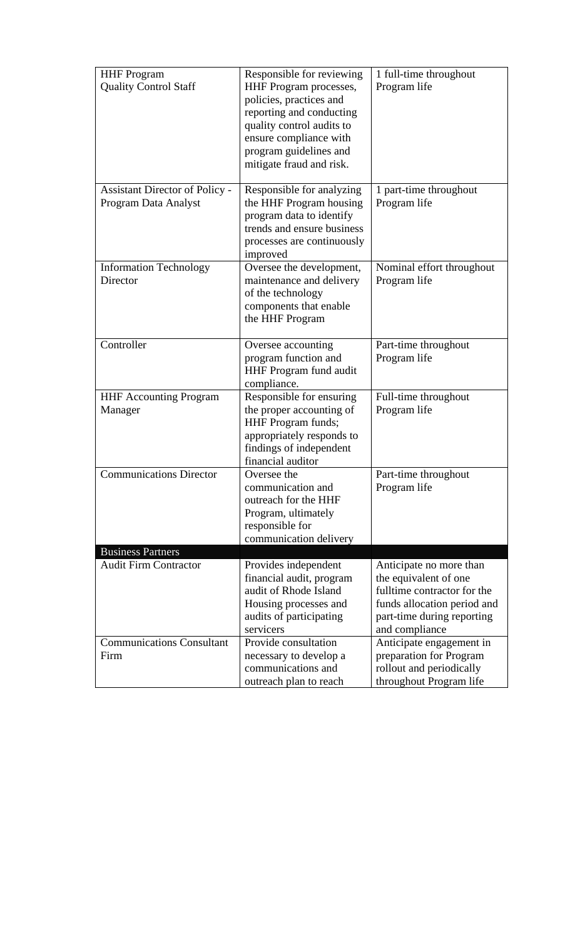| <b>HHF</b> Program<br><b>Quality Control Staff</b>            | Responsible for reviewing<br>HHF Program processes,<br>policies, practices and<br>reporting and conducting<br>quality control audits to<br>ensure compliance with<br>program guidelines and<br>mitigate fraud and risk. | 1 full-time throughout<br>Program life                                                                                                                         |
|---------------------------------------------------------------|-------------------------------------------------------------------------------------------------------------------------------------------------------------------------------------------------------------------------|----------------------------------------------------------------------------------------------------------------------------------------------------------------|
| <b>Assistant Director of Policy -</b><br>Program Data Analyst | Responsible for analyzing<br>the HHF Program housing<br>program data to identify<br>trends and ensure business<br>processes are continuously<br>improved                                                                | 1 part-time throughout<br>Program life                                                                                                                         |
| <b>Information Technology</b><br>Director                     | Oversee the development,<br>maintenance and delivery<br>of the technology<br>components that enable<br>the HHF Program                                                                                                  | Nominal effort throughout<br>Program life                                                                                                                      |
| Controller                                                    | Oversee accounting<br>program function and<br><b>HHF Program fund audit</b><br>compliance.                                                                                                                              | Part-time throughout<br>Program life                                                                                                                           |
| <b>HHF Accounting Program</b><br>Manager                      | Responsible for ensuring<br>the proper accounting of<br>HHF Program funds;<br>appropriately responds to<br>findings of independent<br>financial auditor                                                                 | Full-time throughout<br>Program life                                                                                                                           |
| <b>Communications Director</b>                                | Oversee the<br>communication and<br>outreach for the HHF<br>Program, ultimately<br>responsible for<br>communication delivery                                                                                            | Part-time throughout<br>Program life                                                                                                                           |
| <b>Business Partners</b><br><b>Audit Firm Contractor</b>      | Provides independent<br>financial audit, program<br>audit of Rhode Island<br>Housing processes and<br>audits of participating<br>servicers                                                                              | Anticipate no more than<br>the equivalent of one<br>fulltime contractor for the<br>funds allocation period and<br>part-time during reporting<br>and compliance |
| <b>Communications Consultant</b><br>Firm                      | Provide consultation<br>necessary to develop a<br>communications and<br>outreach plan to reach                                                                                                                          | Anticipate engagement in<br>preparation for Program<br>rollout and periodically<br>throughout Program life                                                     |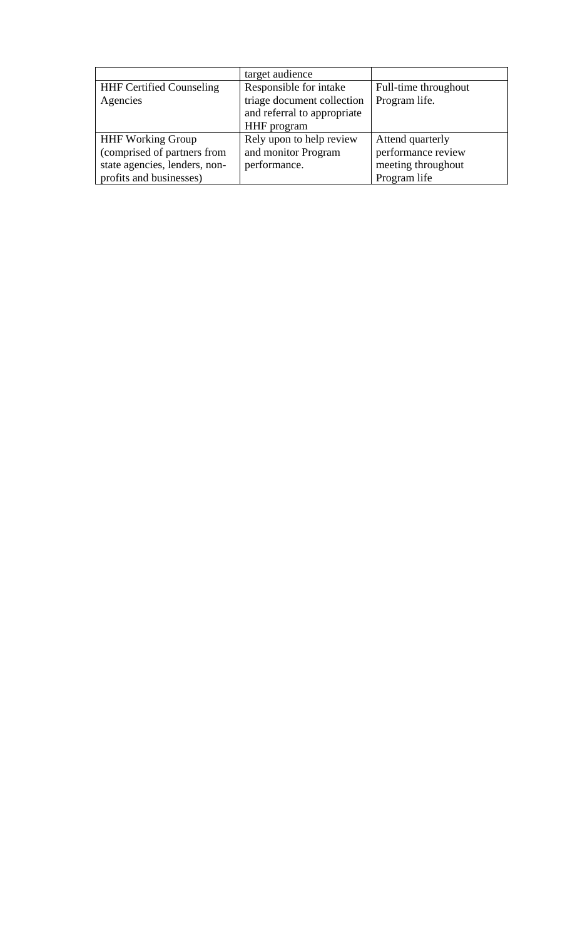|                                 | target audience             |                      |
|---------------------------------|-----------------------------|----------------------|
| <b>HHF Certified Counseling</b> | Responsible for intake      | Full-time throughout |
| Agencies                        | triage document collection  | Program life.        |
|                                 | and referral to appropriate |                      |
|                                 | HHF program                 |                      |
| <b>HHF Working Group</b>        | Rely upon to help review    | Attend quarterly     |
| (comprised of partners from     | and monitor Program         | performance review   |
| state agencies, lenders, non-   | performance.                | meeting throughout   |
| profits and businesses)         |                             | Program life         |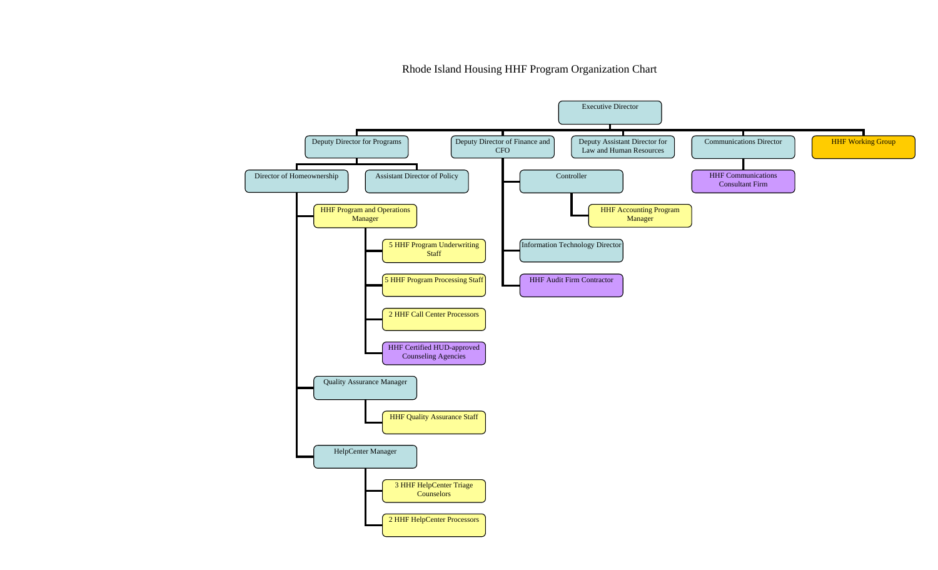Rhode Island Housing HHF Program Organization Chart

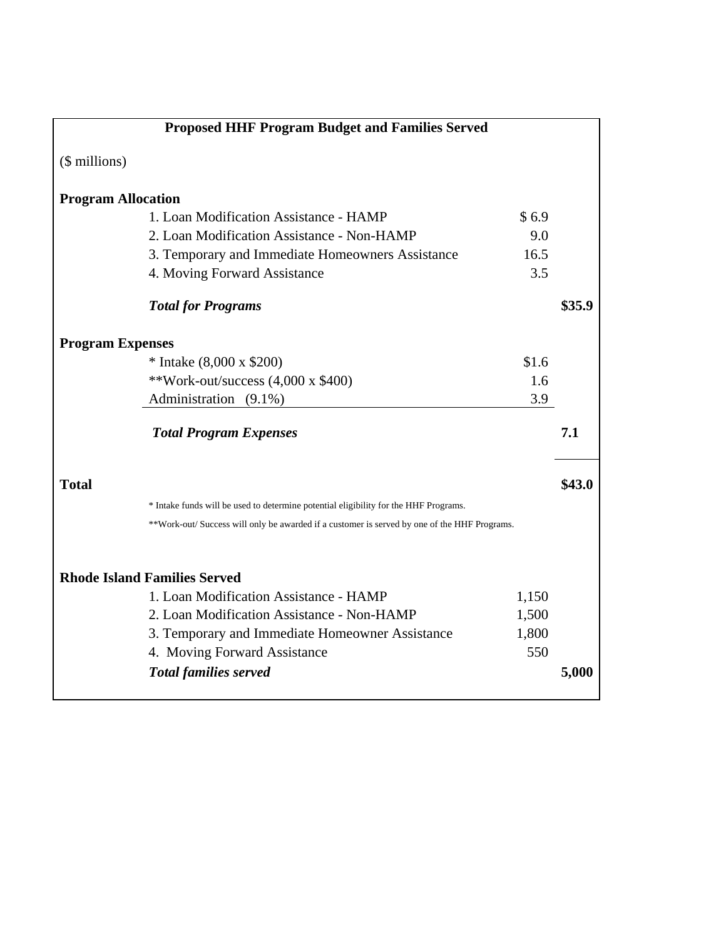|                           | <b>Proposed HHF Program Budget and Families Served</b>                                       |              |        |
|---------------------------|----------------------------------------------------------------------------------------------|--------------|--------|
| (\$ millions)             |                                                                                              |              |        |
| <b>Program Allocation</b> |                                                                                              |              |        |
|                           | 1. Loan Modification Assistance - HAMP                                                       | \$6.9        |        |
|                           | 2. Loan Modification Assistance - Non-HAMP                                                   | 9.0          |        |
|                           | 3. Temporary and Immediate Homeowners Assistance                                             | 16.5         |        |
|                           | 4. Moving Forward Assistance                                                                 | 3.5          |        |
|                           | <b>Total for Programs</b>                                                                    |              | \$35.9 |
| <b>Program Expenses</b>   |                                                                                              |              |        |
|                           | * Intake $(8,000 \times $200)$                                                               | \$1.6        |        |
|                           | **Work-out/success $(4,000 \times $400)$                                                     | 1.6          |        |
|                           | Administration (9.1%)                                                                        | 3.9          |        |
|                           | <b>Total Program Expenses</b>                                                                |              | 7.1    |
| <b>Total</b>              |                                                                                              |              | \$43.0 |
|                           | * Intake funds will be used to determine potential eligibility for the HHF Programs.         |              |        |
|                           | **Work-out/ Success will only be awarded if a customer is served by one of the HHF Programs. |              |        |
|                           |                                                                                              |              |        |
|                           | <b>Rhode Island Families Served</b><br>1. Loan Modification Assistance - HAMP                |              |        |
|                           | 2. Loan Modification Assistance - Non-HAMP                                                   | 1,150        |        |
|                           |                                                                                              | 1,500        |        |
|                           | 3. Temporary and Immediate Homeowner Assistance                                              | 1,800<br>550 |        |
|                           | 4. Moving Forward Assistance                                                                 |              |        |
|                           | <b>Total families served</b>                                                                 |              | 5,000  |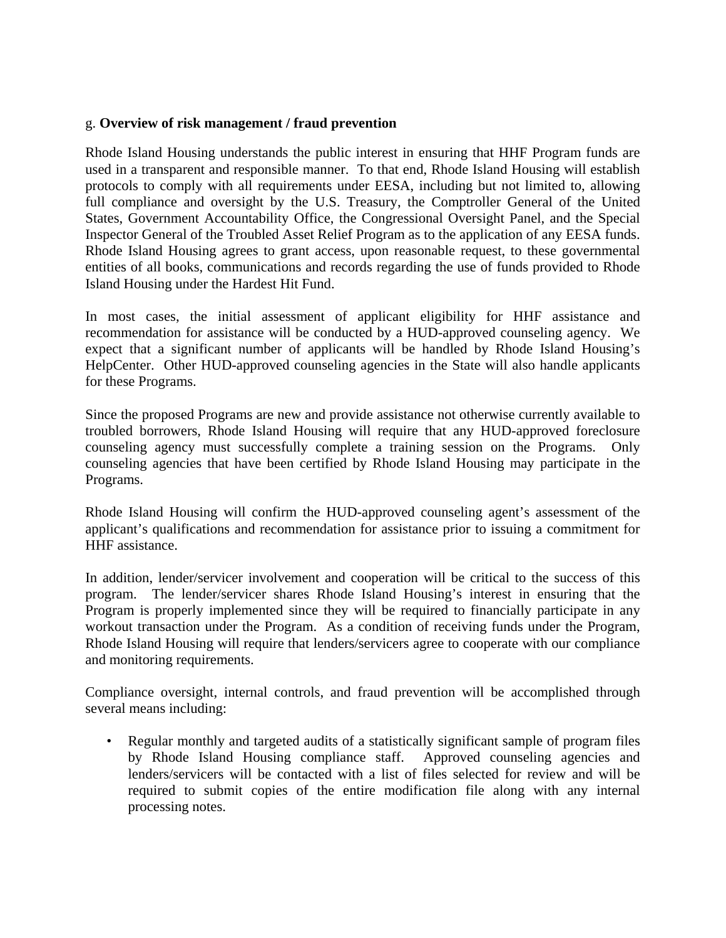### g. **Overview of risk management / fraud prevention**

Rhode Island Housing understands the public interest in ensuring that HHF Program funds are used in a transparent and responsible manner. To that end, Rhode Island Housing will establish protocols to comply with all requirements under EESA, including but not limited to, allowing full compliance and oversight by the U.S. Treasury, the Comptroller General of the United States, Government Accountability Office, the Congressional Oversight Panel, and the Special Inspector General of the Troubled Asset Relief Program as to the application of any EESA funds. Rhode Island Housing agrees to grant access, upon reasonable request, to these governmental entities of all books, communications and records regarding the use of funds provided to Rhode Island Housing under the Hardest Hit Fund.

In most cases, the initial assessment of applicant eligibility for HHF assistance and recommendation for assistance will be conducted by a HUD-approved counseling agency. We expect that a significant number of applicants will be handled by Rhode Island Housing's HelpCenter. Other HUD-approved counseling agencies in the State will also handle applicants for these Programs.

Since the proposed Programs are new and provide assistance not otherwise currently available to troubled borrowers, Rhode Island Housing will require that any HUD-approved foreclosure counseling agency must successfully complete a training session on the Programs. Only counseling agencies that have been certified by Rhode Island Housing may participate in the Programs.

Rhode Island Housing will confirm the HUD-approved counseling agent's assessment of the applicant's qualifications and recommendation for assistance prior to issuing a commitment for HHF assistance.

In addition, lender/servicer involvement and cooperation will be critical to the success of this program. The lender/servicer shares Rhode Island Housing's interest in ensuring that the Program is properly implemented since they will be required to financially participate in any workout transaction under the Program. As a condition of receiving funds under the Program, Rhode Island Housing will require that lenders/servicers agree to cooperate with our compliance and monitoring requirements.

Compliance oversight, internal controls, and fraud prevention will be accomplished through several means including:

• Regular monthly and targeted audits of a statistically significant sample of program files by Rhode Island Housing compliance staff. Approved counseling agencies and lenders/servicers will be contacted with a list of files selected for review and will be required to submit copies of the entire modification file along with any internal processing notes.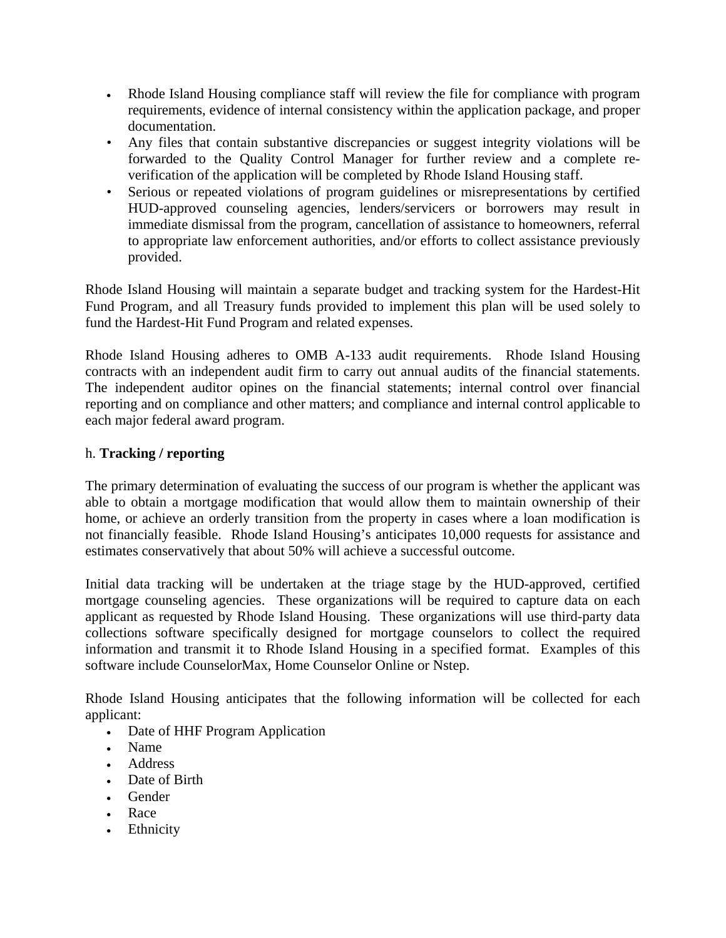- Rhode Island Housing compliance staff will review the file for compliance with program requirements, evidence of internal consistency within the application package, and proper documentation.
- Any files that contain substantive discrepancies or suggest integrity violations will be forwarded to the Quality Control Manager for further review and a complete reverification of the application will be completed by Rhode Island Housing staff.
- Serious or repeated violations of program guidelines or misrepresentations by certified HUD-approved counseling agencies, lenders/servicers or borrowers may result in immediate dismissal from the program, cancellation of assistance to homeowners, referral to appropriate law enforcement authorities, and/or efforts to collect assistance previously provided.

Rhode Island Housing will maintain a separate budget and tracking system for the Hardest-Hit Fund Program, and all Treasury funds provided to implement this plan will be used solely to fund the Hardest-Hit Fund Program and related expenses.

Rhode Island Housing adheres to OMB A-133 audit requirements. Rhode Island Housing contracts with an independent audit firm to carry out annual audits of the financial statements. The independent auditor opines on the financial statements; internal control over financial reporting and on compliance and other matters; and compliance and internal control applicable to each major federal award program.

## h. **Tracking / reporting**

The primary determination of evaluating the success of our program is whether the applicant was able to obtain a mortgage modification that would allow them to maintain ownership of their home, or achieve an orderly transition from the property in cases where a loan modification is not financially feasible. Rhode Island Housing's anticipates 10,000 requests for assistance and estimates conservatively that about 50% will achieve a successful outcome.

Initial data tracking will be undertaken at the triage stage by the HUD-approved, certified mortgage counseling agencies. These organizations will be required to capture data on each applicant as requested by Rhode Island Housing. These organizations will use third-party data collections software specifically designed for mortgage counselors to collect the required information and transmit it to Rhode Island Housing in a specified format. Examples of this software include CounselorMax, Home Counselor Online or Nstep.

Rhode Island Housing anticipates that the following information will be collected for each applicant:

- Date of HHF Program Application
- Name
- Address
- Date of Birth
- Gender
- Race
- Ethnicity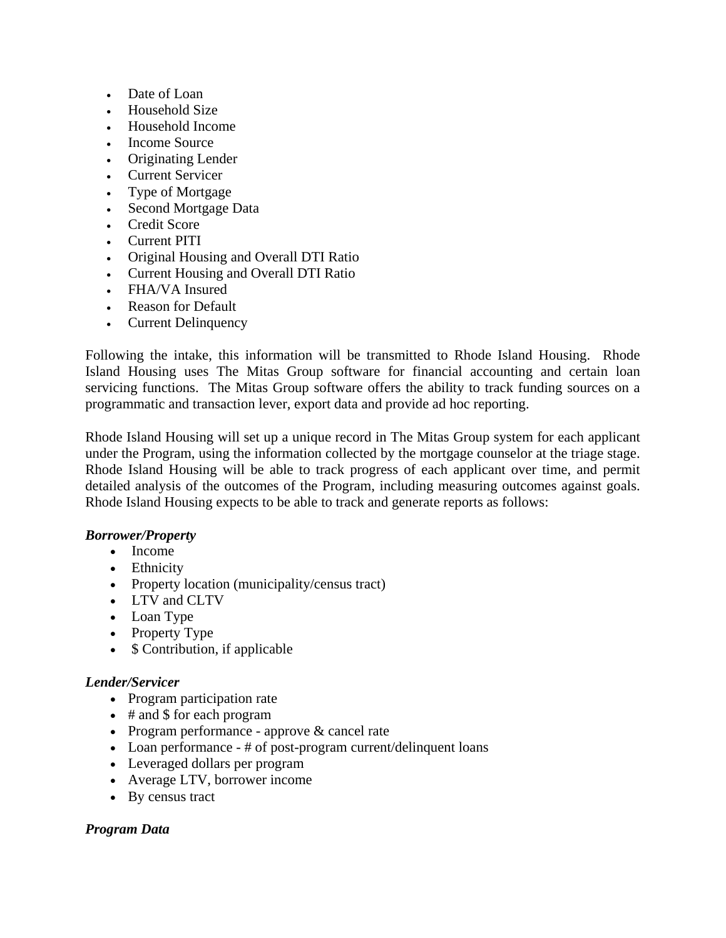- Date of Loan
- Household Size
- Household Income
- Income Source
- Originating Lender
- Current Servicer
- Type of Mortgage
- Second Mortgage Data
- Credit Score
- Current PITI
- Original Housing and Overall DTI Ratio
- Current Housing and Overall DTI Ratio
- FHA/VA Insured
- Reason for Default
- Current Delinquency

Following the intake, this information will be transmitted to Rhode Island Housing. Rhode Island Housing uses The Mitas Group software for financial accounting and certain loan servicing functions. The Mitas Group software offers the ability to track funding sources on a programmatic and transaction lever, export data and provide ad hoc reporting.

Rhode Island Housing will set up a unique record in The Mitas Group system for each applicant under the Program, using the information collected by the mortgage counselor at the triage stage. Rhode Island Housing will be able to track progress of each applicant over time, and permit detailed analysis of the outcomes of the Program, including measuring outcomes against goals. Rhode Island Housing expects to be able to track and generate reports as follows:

#### *Borrower/Property*

- Income
- Ethnicity
- Property location (municipality/census tract)
- LTV and CLTV
- Loan Type
- Property Type
- \$ Contribution, if applicable

#### *Lender/Servicer*

- Program participation rate
- # and \$ for each program
- Program performance approve & cancel rate
- Loan performance # of post-program current/delinquent loans
- Leveraged dollars per program
- Average LTV, borrower income
- By census tract

#### *Program Data*